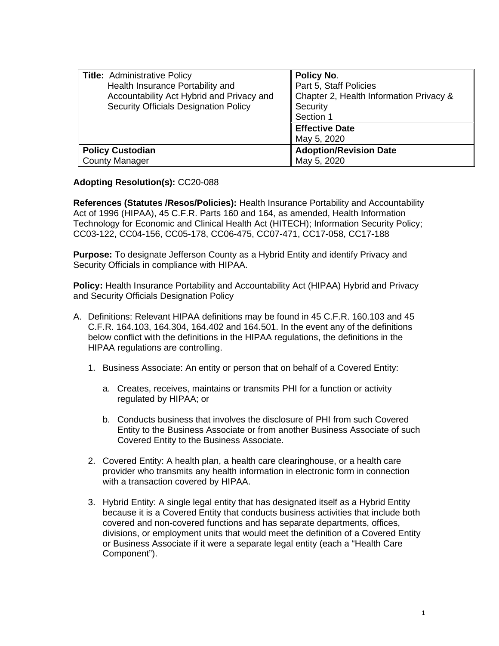| Title: Administrative Policy              | Policy No.                              |
|-------------------------------------------|-----------------------------------------|
| Health Insurance Portability and          | Part 5, Staff Policies                  |
| Accountability Act Hybrid and Privacy and | Chapter 2, Health Information Privacy & |
| Security Officials Designation Policy     | Security                                |
|                                           | Section 1                               |
|                                           | <b>Effective Date</b>                   |
|                                           | May 5, 2020                             |
| <b>Policy Custodian</b>                   | <b>Adoption/Revision Date</b>           |
| County Manager                            | May 5, 2020                             |

**Adopting Resolution(s):** CC20-088

**References (Statutes /Resos/Policies):** Health Insurance Portability and Accountability Act of 1996 (HIPAA), 45 C.F.R. Parts 160 and 164, as amended, Health Information Technology for Economic and Clinical Health Act (HITECH); Information Security Policy; CC03-122, CC04-156, CC05-178, CC06-475, CC07-471, CC17-058, CC17-188

**Purpose:** To designate Jefferson County as a Hybrid Entity and identify Privacy and Security Officials in compliance with HIPAA.

**Policy:** Health Insurance Portability and Accountability Act (HIPAA) Hybrid and Privacy and Security Officials Designation Policy

- A. Definitions: Relevant HIPAA definitions may be found in 45 C.F.R. 160.103 and 45 C.F.R. 164.103, 164.304, 164.402 and 164.501. In the event any of the definitions below conflict with the definitions in the HIPAA regulations, the definitions in the HIPAA regulations are controlling.
	- 1. Business Associate: An entity or person that on behalf of a Covered Entity:
		- a. Creates, receives, maintains or transmits PHI for a function or activity regulated by HIPAA; or
		- b. Conducts business that involves the disclosure of PHI from such Covered Entity to the Business Associate or from another Business Associate of such Covered Entity to the Business Associate.
	- 2. Covered Entity: A health plan, a health care clearinghouse, or a health care provider who transmits any health information in electronic form in connection with a transaction covered by HIPAA.
	- 3. Hybrid Entity: A single legal entity that has designated itself as a Hybrid Entity because it is a Covered Entity that conducts business activities that include both covered and non-covered functions and has separate departments, offices, divisions, or employment units that would meet the definition of a Covered Entity or Business Associate if it were a separate legal entity (each a "Health Care Component").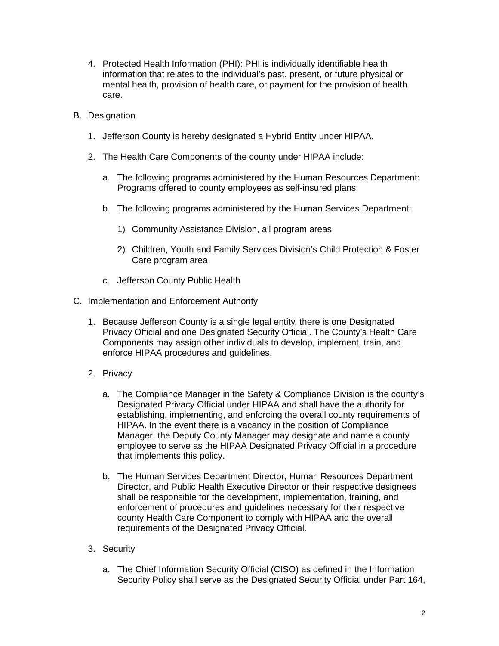- 4. Protected Health Information (PHI): PHI is individually identifiable health information that relates to the individual's past, present, or future physical or mental health, provision of health care, or payment for the provision of health care.
- B. Designation
	- 1. Jefferson County is hereby designated a Hybrid Entity under HIPAA.
	- 2. The Health Care Components of the county under HIPAA include:
		- a. The following programs administered by the Human Resources Department: Programs offered to county employees as self-insured plans.
		- b. The following programs administered by the Human Services Department:
			- 1) Community Assistance Division, all program areas
			- 2) Children, Youth and Family Services Division's Child Protection & Foster Care program area
		- c. Jefferson County Public Health
- C. Implementation and Enforcement Authority
	- 1. Because Jefferson County is a single legal entity, there is one Designated Privacy Official and one Designated Security Official. The County's Health Care Components may assign other individuals to develop, implement, train, and enforce HIPAA procedures and guidelines.
	- 2. Privacy
		- a. The Compliance Manager in the Safety & Compliance Division is the county's Designated Privacy Official under HIPAA and shall have the authority for establishing, implementing, and enforcing the overall county requirements of HIPAA. In the event there is a vacancy in the position of Compliance Manager, the Deputy County Manager may designate and name a county employee to serve as the HIPAA Designated Privacy Official in a procedure that implements this policy.
		- b. The Human Services Department Director, Human Resources Department Director, and Public Health Executive Director or their respective designees shall be responsible for the development, implementation, training, and enforcement of procedures and guidelines necessary for their respective county Health Care Component to comply with HIPAA and the overall requirements of the Designated Privacy Official.
	- 3. Security
		- a. The Chief Information Security Official (CISO) as defined in the Information Security Policy shall serve as the Designated Security Official under Part 164,